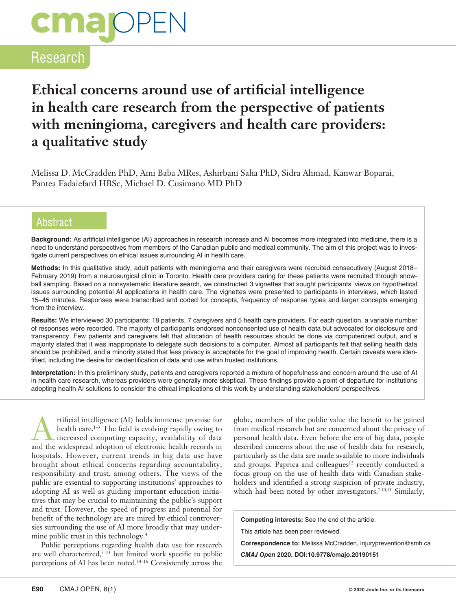# **cmal**OPEN

### Research

### **Ethical concerns around use of artificial intelligence in health care research from the perspective of patients with meningioma, caregivers and health care providers: a qualitative study**

Melissa D. McCradden PhD, Ami Baba MRes, Ashirbani Saha PhD, Sidra Ahmad, Kanwar Boparai, Pantea Fadaiefard HBSc, Michael D. Cusimano MD PhD

### **Abstract**

**Background:** As artificial intelligence (AI) approaches in research increase and AI becomes more integrated into medicine, there is a need to understand perspectives from members of the Canadian public and medical community. The aim of this project was to investigate current perspectives on ethical issues surrounding AI in health care.

**Methods:** In this qualitative study, adult patients with meningioma and their caregivers were recruited consecutively (August 2018– February 2019) from a neurosurgical clinic in Toronto. Health care providers caring for these patients were recruited through snowball sampling. Based on a nonsystematic literature search, we constructed 3 vignettes that sought participants' views on hypothetical issues surrounding potential AI applications in health care. The vignettes were presented to participants in interviews, which lasted 15–45 minutes. Responses were transcribed and coded for concepts, frequency of response types and larger concepts emerging from the interview.

**Results:** We interviewed 30 participants: 18 patients, 7 caregivers and 5 health care providers. For each question, a variable number of responses were recorded. The majority of participants endorsed nonconsented use of health data but advocated for disclosure and transparency. Few patients and caregivers felt that allocation of health resources should be done via computerized output, and a majority stated that it was inappropriate to delegate such decisions to a computer. Almost all participants felt that selling health data should be prohibited, and a minority stated that less privacy is acceptable for the goal of improving health. Certain caveats were identified, including the desire for deidentification of data and use within trusted institutions.

**Interpretation:** In this preliminary study, patients and caregivers reported a mixture of hopefulness and concern around the use of AI in health care research, whereas providers were generally more skeptical. These findings provide a point of departure for institutions adopting health AI solutions to consider the ethical implications of this work by understanding stakeholders' perspectives.

rtificial intelligence (AI) holds immense promise for<br>
health care.<sup>1-3</sup> The field is evolving rapidly owing to<br>
increased computing capacity, availability of data<br>
and the widespread edoption of electronic health records health care.<sup>1–3</sup> The field is evolving rapidly owing to and the widespread adoption of electronic health records in hospitals. However, current trends in big data use have brought about ethical concerns regarding accountability, responsibility and trust, among others. The views of the public are essential to supporting institutions' approaches to adopting AI as well as guiding important education initiatives that may be crucial to maintaining the public's support and trust. However, the speed of progress and potential for benefit of the technology are are mired by ethical controversies surrounding the use of AI more broadly that may undermine public trust in this technology.4

Public perceptions regarding health data use for research are well characterized, $5-13$  but limited work specific to public perceptions of AI has been noted.14–16 Consistently across the

globe, members of the public value the benefit to be gained from medical research but are concerned about the privacy of personal health data. Even before the era of big data, people described concerns about the use of health data for research, particularly as the data are made available to more individuals and groups. Paprica and colleagues<sup>12</sup> recently conducted a focus group on the use of health data with Canadian stakeholders and identified a strong suspicion of private industry, which had been noted by other investigators.<sup>7,10,11</sup> Similarly,

**Competing interests:** See the end of the article.

This article has been peer reviewed.

**Correspondence to:** Melissa McCradden, injuryprevention@smh.ca

*CMAJ Open* **2020. DOI:10.9778/cmajo.20190151**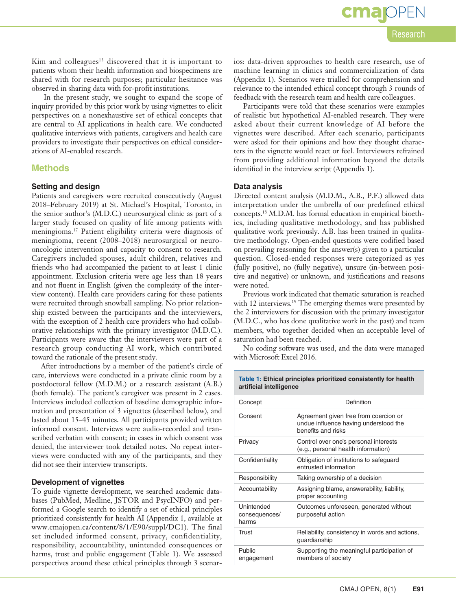**OPEN** 

Kim and colleagues<sup>13</sup> discovered that it is important to patients whom their health information and biospecimens are shared with for research purposes; particular hesitance was observed in sharing data with for-profit institutions.

 In the present study, we sought to expand the scope of inquiry provided by this prior work by using vignettes to elicit perspectives on a nonexhaustive set of ethical concepts that are central to AI applications in health care. We conducted qualitative interviews with patients, caregivers and health care providers to investigate their perspectives on ethical considerations of AI-enabled research.

#### **Methods**

#### **Setting and design**

Patients and caregivers were recruited consecutively (August 2018–February 2019) at St. Michael's Hospital, Toronto, in the senior author's (M.D.C.) neurosurgical clinic as part of a larger study focused on quality of life among patients with meningioma.17 Patient eligibility criteria were diagnosis of meningioma, recent (2008–2018) neurosurgical or neurooncologic intervention and capacity to consent to research. Caregivers included spouses, adult children, relatives and friends who had accompanied the patient to at least 1 clinic appointment. Exclusion criteria were age less than 18 years and not fluent in English (given the complexity of the interview content). Health care providers caring for these patients were recruited through snowball sampling. No prior relationship existed between the participants and the interviewers, with the exception of 2 health care providers who had collaborative relationships with the primary investigator (M.D.C.). Participants were aware that the interviewers were part of a research group conducting AI work, which contributed toward the rationale of the present study.

After introductions by a member of the patient's circle of care, interviews were conducted in a private clinic room by a postdoctoral fellow (M.D.M.) or a research assistant (A.B.) (both female). The patient's caregiver was present in 2 cases. Interviews included collection of baseline demographic information and presentation of 3 vignettes (described below), and lasted about 15–45 minutes. All participants provided written informed consent. Interviews were audio-recorded and transcribed verbatim with consent; in cases in which consent was denied, the interviewer took detailed notes. No repeat interviews were conducted with any of the participants, and they did not see their interview transcripts.

#### **Development of vignettes**

To guide vignette development, we searched academic databases (PubMed, Medline, JSTOR and PsycINFO) and performed a Google search to identify a set of ethical principles prioritized consistently for health AI (Appendix 1, available at www.cmajopen.ca/content/8/1/E90/suppl/DC1). The final set included informed consent, privacy, confidentiality, responsibility, accountability, unintended consequences or harms, trust and public engagement (Table 1). We assessed perspectives around these ethical principles through 3 scenarios: data-driven approaches to health care research, use of machine learning in clinics and commercialization of data (Appendix 1). Scenarios were trialled for comprehension and relevance to the intended ethical concept through 3 rounds of feedback with the research team and health care colleagues.

Participants were told that these scenarios were examples of realistic but hypothetical AI-enabled research. They were asked about their current knowledge of AI before the vignettes were described. After each scenario, participants were asked for their opinions and how they thought characters in the vignette would react or feel. Interviewers refrained from providing additional information beyond the details identified in the interview script (Appendix 1).

#### **Data analysis**

Directed content analysis (M.D.M., A.B., P.F.) allowed data interpretation under the umbrella of our predefined ethical concepts.18 M.D.M. has formal education in empirical bioethics, including qualitative methodology, and has published qualitative work previously. A.B. has been trained in qualitative methodology. Open-ended questions were codified based on prevailing reasoning for the answer(s) given to a particular question. Closed-ended responses were categorized as yes (fully positive), no (fully negative), unsure (in-between positive and negative) or unknown, and justifications and reasons were noted.

Previous work indicated that thematic saturation is reached with 12 interviews.<sup>19</sup> The emerging themes were presented by the 2 interviewers for discussion with the primary investigator (M.D.C., who has done qualitative work in the past) and team members, who together decided when an acceptable level of saturation had been reached.

No coding software was used, and the data were managed with Microsoft Excel 2016.

| Agreement given free from coercion or<br>undue influence having understood the |
|--------------------------------------------------------------------------------|
| Control over one's personal interests                                          |
| Obligation of institutions to safeguard                                        |
|                                                                                |
| Assigning blame, answerability, liability,                                     |
| Outcomes unforeseen, generated without                                         |
| Reliability, consistency in words and actions,                                 |
| Supporting the meaningful participation of                                     |
|                                                                                |

|                         | Table 1: Ethical principles prioritized consistently for health |
|-------------------------|-----------------------------------------------------------------|
| artificial intelligence |                                                                 |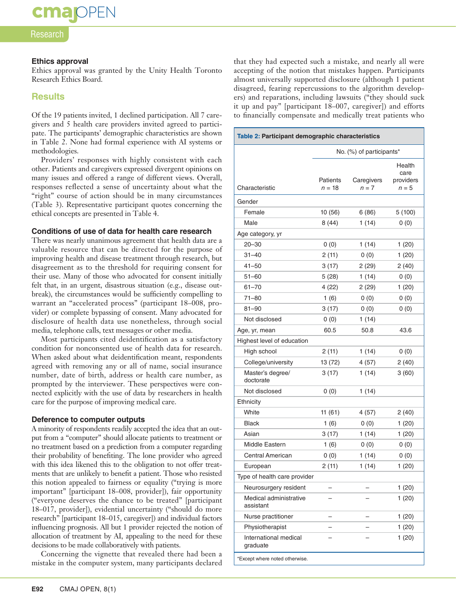### **cmajOPEN**

#### Research

#### **Ethics approval**

Ethics approval was granted by the Unity Health Toronto Research Ethics Board.

#### **Results**

Of the 19 patients invited, 1 declined participation. All 7 caregivers and 5 health care providers invited agreed to participate. The participants' demographic characteristics are shown in Table 2. None had formal experience with AI systems or methodologies.

Providers' responses with highly consistent with each other. Patients and caregivers expressed divergent opinions on many issues and offered a range of different views. Overall, responses reflected a sense of uncertainty about what the "right" course of action should be in many circumstances (Table 3). Representative participant quotes concerning the ethical concepts are presented in Table 4.

#### **Conditions of use of data for health care research**

There was nearly unanimous agreement that health data are a valuable resource that can be directed for the purpose of improving health and disease treatment through research, but disagreement as to the threshold for requiring consent for their use. Many of those who advocated for consent initially felt that, in an urgent, disastrous situation (e.g., disease outbreak), the circumstances would be sufficiently compelling to warrant an "accelerated process" (participant 18–008, provider) or complete bypassing of consent. Many advocated for disclosure of health data use nonetheless, through social media, telephone calls, text messages or other media.

Most participants cited deidentification as a satisfactory condition for nonconsented use of health data for research. When asked about what deidentification meant, respondents agreed with removing any or all of name, social insurance number, date of birth, address or health care number, as prompted by the interviewer. These perspectives were connected explicitly with the use of data by researchers in health care for the purpose of improving medical care.

#### **Deference to computer outputs**

A minority of respondents readily accepted the idea that an output from a "computer" should allocate patients to treatment or no treatment based on a prediction from a computer regarding their probability of benefiting. The lone provider who agreed with this idea likened this to the obligation to not offer treatments that are unlikely to benefit a patient. Those who resisted this notion appealed to fairness or equality ("trying is more important" [participant 18–008, provider]), fair opportunity ("everyone deserves the chance to be treated" [participant 18–017, provider]), evidential uncertainty ("should do more research" [participant 18–015, caregiver]) and individual factors influencing prognosis. All but 1 provider rejected the notion of allocation of treatment by AI, appealing to the need for these decisions to be made collaboratively with patients.

Concerning the vignette that revealed there had been a mistake in the computer system, many participants declared that they had expected such a mistake, and nearly all were accepting of the notion that mistakes happen. Participants almost universally supported disclosure (although 1 patient disagreed, fearing repercussions to the algorithm developers) and reparations, including lawsuits ("they should suck it up and pay" [participant 18–007, caregiver]) and efforts to financially compensate and medically treat patients who

|                                     |          | No. (%) of participants* |                             |
|-------------------------------------|----------|--------------------------|-----------------------------|
|                                     | Patients | Caregivers               | Health<br>care<br>providers |
| Characteristic                      | $n = 18$ | $n = 7$                  | $n = 5$                     |
| Gender                              |          |                          |                             |
| Female                              | 10(56)   | 6(86)                    | 5(100)                      |
| Male                                | 8(44)    | 1(14)                    | 0(0)                        |
| Age category, yr                    |          |                          |                             |
| $20 - 30$                           | 0(0)     | 1(14)                    | 1(20)                       |
| $31 - 40$                           | 2(11)    | 0(0)                     | 1(20)                       |
| $41 - 50$                           | 3(17)    | 2(29)                    | 2(40)                       |
| $51 - 60$                           | 5(28)    | 1(14)                    | 0(0)                        |
| $61 - 70$                           | 4(22)    | 2(29)                    | 1(20)                       |
| $71 - 80$                           | 1(6)     | 0(0)                     | 0(0)                        |
| $81 - 90$                           | 3(17)    | 0(0)                     | 0(0)                        |
| Not disclosed                       | 0(0)     | 1(14)                    |                             |
| Age, yr, mean                       | 60.5     | 50.8                     | 43.6                        |
| Highest level of education          |          |                          |                             |
| High school                         | 2(11)    | 1(14)                    | 0(0)                        |
| College/university                  | 13 (72)  | 4(57)                    | 2(40)                       |
| Master's degree/<br>doctorate       | 3(17)    | 1(14)                    | 3(60)                       |
| Not disclosed                       | 0(0)     | 1(14)                    |                             |
| Ethnicity                           |          |                          |                             |
| White                               | 11(61)   | 4(57)                    | 2(40)                       |
| <b>Black</b>                        | 1(6)     | 0(0)                     | 1(20)                       |
| Asian                               | 3(17)    | 1(14)                    | 1(20)                       |
| Middle Eastern                      | 1(6)     | 0(0)                     | 0(0)                        |
| Central American                    | 0(0)     | 1(14)                    | 0(0)                        |
| European                            | 2(11)    | 1(14)                    | 1(20)                       |
| Type of health care provider        |          |                          |                             |
| Neurosurgery resident               |          |                          | 1(20)                       |
| Medical administrative<br>assistant |          |                          | 1(20)                       |
| Nurse practitioner                  |          |                          | 1(20)                       |
| Physiotherapist                     |          |                          | 1(20)                       |
| International medical<br>graduate   |          |                          | 1(20)                       |
|                                     |          |                          |                             |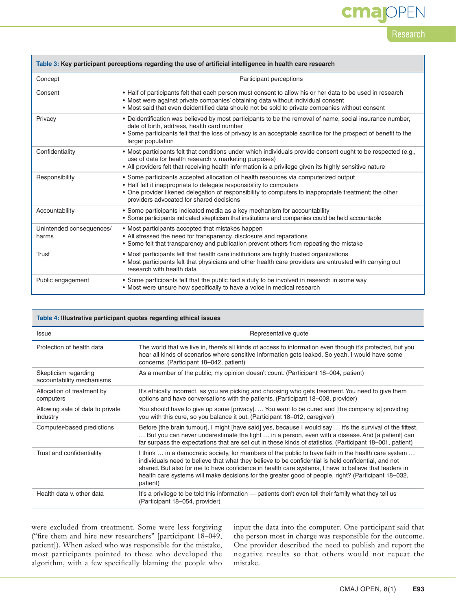## cmajOPEN

### Research

| Table 3: Key participant perceptions regarding the use of artificial intelligence in health care research |                                                                                                                                                                                                                                                                                                                   |  |  |
|-----------------------------------------------------------------------------------------------------------|-------------------------------------------------------------------------------------------------------------------------------------------------------------------------------------------------------------------------------------------------------------------------------------------------------------------|--|--|
| Concept                                                                                                   | Participant perceptions                                                                                                                                                                                                                                                                                           |  |  |
| Consent                                                                                                   | • Half of participants felt that each person must consent to allow his or her data to be used in research<br>• Most were against private companies' obtaining data without individual consent<br>• Most said that even deidentified data should not be sold to private companies without consent                  |  |  |
| Privacy                                                                                                   | . Deidentification was believed by most participants to be the removal of name, social insurance number,<br>date of birth, address, health card number<br>• Some participants felt that the loss of privacy is an acceptable sacrifice for the prospect of benefit to the<br>larger population                    |  |  |
| Confidentiality                                                                                           | • Most participants felt that conditions under which individuals provide consent ought to be respected (e.g.,<br>use of data for health research v. marketing purposes)<br>• All providers felt that receiving health information is a privilege given its highly sensitive nature                                |  |  |
| Responsibility                                                                                            | • Some participants accepted allocation of health resources via computerized output<br>• Half felt it inappropriate to delegate responsibility to computers<br>• One provider likened delegation of responsibility to computers to inappropriate treatment; the other<br>providers advocated for shared decisions |  |  |
| Accountability                                                                                            | • Some participants indicated media as a key mechanism for accountability<br>• Some participants indicated skepticism that institutions and companies could be held accountable                                                                                                                                   |  |  |
| Unintended consequences/<br>harms                                                                         | • Most participants accepted that mistakes happen<br>• All stressed the need for transparency, disclosure and reparations<br>• Some felt that transparency and publication prevent others from repeating the mistake                                                                                              |  |  |
| <b>Trust</b>                                                                                              | • Most participants felt that health care institutions are highly trusted organizations<br>. Most participants felt that physicians and other health care providers are entrusted with carrying out<br>research with health data                                                                                  |  |  |
| Public engagement                                                                                         | • Some participants felt that the public had a duty to be involved in research in some way<br>• Most were unsure how specifically to have a voice in medical research                                                                                                                                             |  |  |

| Table 4: Illustrative participant quotes regarding ethical issues |                                                                                                                                                                                                                                                                                                                                                                                                                                       |  |  |  |
|-------------------------------------------------------------------|---------------------------------------------------------------------------------------------------------------------------------------------------------------------------------------------------------------------------------------------------------------------------------------------------------------------------------------------------------------------------------------------------------------------------------------|--|--|--|
| <b>Issue</b>                                                      | Representative quote                                                                                                                                                                                                                                                                                                                                                                                                                  |  |  |  |
| Protection of health data                                         | The world that we live in, there's all kinds of access to information even though it's protected, but you<br>hear all kinds of scenarios where sensitive information gets leaked. So yeah, I would have some<br>concerns. (Participant 18-042, patient)                                                                                                                                                                               |  |  |  |
| Skepticism regarding<br>accountability mechanisms                 | As a member of the public, my opinion doesn't count. (Participant 18–004, patient)                                                                                                                                                                                                                                                                                                                                                    |  |  |  |
| Allocation of treatment by<br>computers                           | It's ethically incorrect, as you are picking and choosing who gets treatment. You need to give them<br>options and have conversations with the patients. (Participant 18–008, provider)                                                                                                                                                                                                                                               |  |  |  |
| Allowing sale of data to private<br>industry                      | You should have to give up some [privacy].  You want to be cured and [the company is] providing<br>you with this cure, so you balance it out. (Participant 18–012, caregiver)                                                                                                                                                                                                                                                         |  |  |  |
| Computer-based predictions                                        | Before [the brain tumour], I might [have said] yes, because I would say $\ldots$ it's the survival of the fittest.<br>But you can never underestimate the fight  in a person, even with a disease. And [a patient] can<br>far surpass the expectations that are set out in these kinds of statistics. (Participant 18–001, patient)                                                                                                   |  |  |  |
| Trust and confidentiality                                         | I think  in a democratic society, for members of the public to have faith in the health care system<br>individuals need to believe that what they believe to be confidential is held confidential, and not<br>shared. But also for me to have confidence in health care systems, I have to believe that leaders in<br>health care systems will make decisions for the greater good of people, right? (Participant 18–032,<br>patient) |  |  |  |
| Health data v. other data                                         | It's a privilege to be told this information — patients don't even tell their family what they tell us<br>(Participant 18-054, provider)                                                                                                                                                                                                                                                                                              |  |  |  |

were excluded from treatment. Some were less forgiving ("fire them and hire new researchers" [participant 18–049, patient]). When asked who was responsible for the mistake, most participants pointed to those who developed the algorithm, with a few specifically blaming the people who

input the data into the computer. One participant said that the person most in charge was responsible for the outcome. One provider described the need to publish and report the negative results so that others would not repeat the mistake.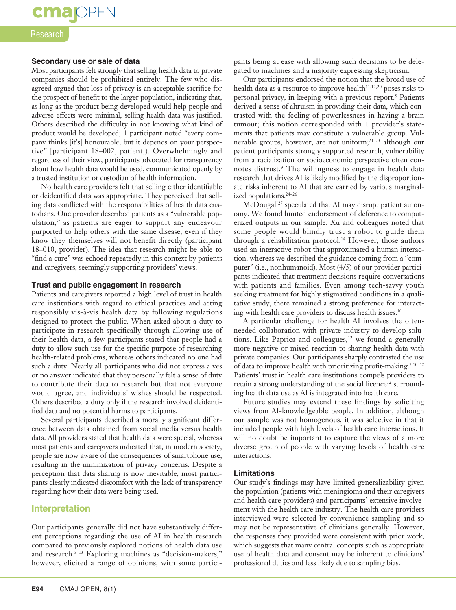#### Research

#### **Secondary use or sale of data**

Most participants felt strongly that selling health data to private companies should be prohibited entirely. The few who disagreed argued that loss of privacy is an acceptable sacrifice for the prospect of benefit to the larger population, indicating that, as long as the product being developed would help people and adverse effects were minimal, selling health data was justified. Others described the difficulty in not knowing what kind of product would be developed; 1 participant noted "every company thinks [it's] honourable, but it depends on your perspective" [participant 18–002, patient]). Overwhelmingly and regardless of their view, participants advocated for transparency about how health data would be used, communicated openly by a trusted institution or custodian of health information.

No health care providers felt that selling either identifiable or deidentified data was appropriate. They perceived that selling data conflicted with the responsibilities of health data custodians. One provider described patients as a "vulnerable population," as patients are eager to support any endeavour purported to help others with the same disease, even if they know they themselves will not benefit directly (participant 18–010, provider). The idea that research might be able to "find a cure" was echoed repeatedly in this context by patients and caregivers, seemingly supporting providers' views.

#### **Trust and public engagement in research**

Patients and caregivers reported a high level of trust in health care institutions with regard to ethical practices and acting responsibly vis-à-vis health data by following regulations designed to protect the public. When asked about a duty to participate in research specifically through allowing use of their health data, a few participants stated that people had a duty to allow such use for the specific purpose of researching health-related problems, whereas others indicated no one had such a duty. Nearly all participants who did not express a yes or no answer indicated that they personally felt a sense of duty to contribute their data to research but that not everyone would agree, and individuals' wishes should be respected. Others described a duty only if the research involved deidentified data and no potential harms to participants.

Several participants described a morally significant difference between data obtained from social media versus health data. All providers stated that health data were special, whereas most patients and caregivers indicated that, in modern society, people are now aware of the consequences of smartphone use, resulting in the minimization of privacy concerns. Despite a perception that data sharing is now inevitable, most participants clearly indicated discomfort with the lack of transparency regarding how their data were being used.

#### **Interpretation**

Our participants generally did not have substantively different perceptions regarding the use of AI in health research compared to previously explored notions of health data use and research.<sup>5-13</sup> Exploring machines as "decision-makers," however, elicited a range of opinions, with some participants being at ease with allowing such decisions to be delegated to machines and a majority expressing skepticism.

Our participants endorsed the notion that the broad use of health data as a resource to improve health $11,12,20$  poses risks to personal privacy, in keeping with a previous report.5 Patients derived a sense of altruism in providing their data, which contrasted with the feeling of powerlessness in having a brain tumour; this notion corresponded with 1 provider's statements that patients may constitute a vulnerable group. Vulnerable groups, however, are not uniform;21–23 although our patient participants strongly supported research, vulnerability from a racialization or socioeconomic perspective often connotes distrust.9 The willingness to engage in health data research that drives AI is likely modified by the disproportionate risks inherent to AI that are carried by various marginalized populations.24–26

McDougall<sup>27</sup> speculated that AI may disrupt patient autonomy. We found limited endorsement of deference to computerized outputs in our sample. Xu and colleagues noted that some people would blindly trust a robot to guide them through a rehabilitation protocol.14 However, those authors used an interactive robot that approximated a human interaction, whereas we described the guidance coming from a "computer" (i.e., nonhumanoid). Most (4/5) of our provider participants indicated that treatment decisions require conversations with patients and families. Even among tech-savvy youth seeking treatment for highly stigmatized conditions in a qualitative study, there remained a strong preference for interacting with health care providers to discuss health issues.16

A particular challenge for health AI involves the oftenneeded collaboration with private industry to develop solutions. Like Paprica and colleagues, $12$  we found a generally more negative or mixed reaction to sharing health data with private companies. Our participants sharply contrasted the use of data to improve health with prioritizing profit-making.7,10–12 Patients' trust in health care institutions compels providers to retain a strong understanding of the social licence<sup>12</sup> surrounding health data use as AI is integrated into health care.

Future studies may extend these findings by soliciting views from AI-knowledgeable people. In addition, although our sample was not homogenous, it was selective in that it included people with high levels of health care interactions. It will no doubt be important to capture the views of a more diverse group of people with varying levels of health care interactions.

#### **Limitations**

Our study's findings may have limited generalizability given the population (patients with meningioma and their caregivers and health care providers) and participants' extensive involvement with the health care industry. The health care providers interviewed were selected by convenience sampling and so may not be representative of clinicians generally. However, the responses they provided were consistent with prior work, which suggests that many central concepts such as appropriate use of health data and consent may be inherent to clinicians' professional duties and less likely due to sampling bias.